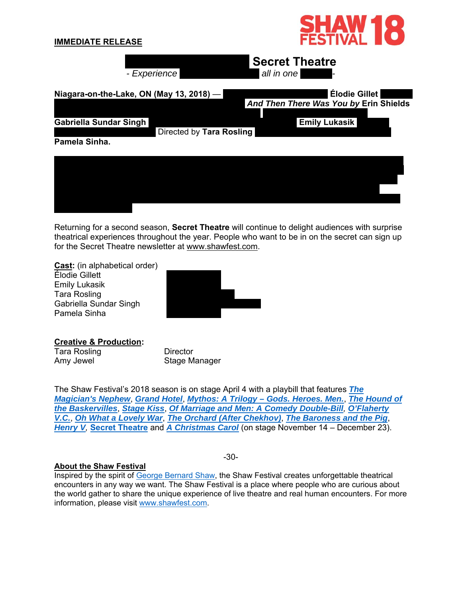

Returning for a second season, **Secret Theatre** will continue to delight audiences with surprise theatrical experiences throughout the year. People who want to be in on the secret can sign up for the Secret Theatre newsletter at www.shawfest.com.

Theatre, but that's the whole point! I really wish I could tell you more about Secret Theatre, but

**Cast:** (in alphabetical order) Élodie Gillett Emily Lukasik Tara Rosling Gabriella Sundar Singh Pamela Sinha

that's the whole point



**Creative & Production:**

Tara Rosling Amy Jewel

**Director** Stage Manager

The Shaw Festival's 2018 season is on stage April 4 with a playbill that features *The Magician's Nephew*, *Grand Hotel*, *Mythos: A Trilogy – Gods. Heroes. Men.*, *The Hound of the Baskervilles*, *Stage Kiss*, *Of Marriage and Men: A Comedy Double-Bill, O'Flaherty V.C.*, *Oh What a Lovely War*, *The Orchard (After Chekhov)*, *The Baroness and the Pig*, *Henry V,* **Secret Theatre** and *A Christmas Carol* (on stage November 14 – December 23).

## -30-

## **About the Shaw Festival**

Inspired by the spirit of George Bernard Shaw, the Shaw Festival creates unforgettable theatrical encounters in any way we want. The Shaw Festival is a place where people who are curious about the world gather to share the unique experience of live theatre and real human encounters. For more information, please visit www.shawfest.com.